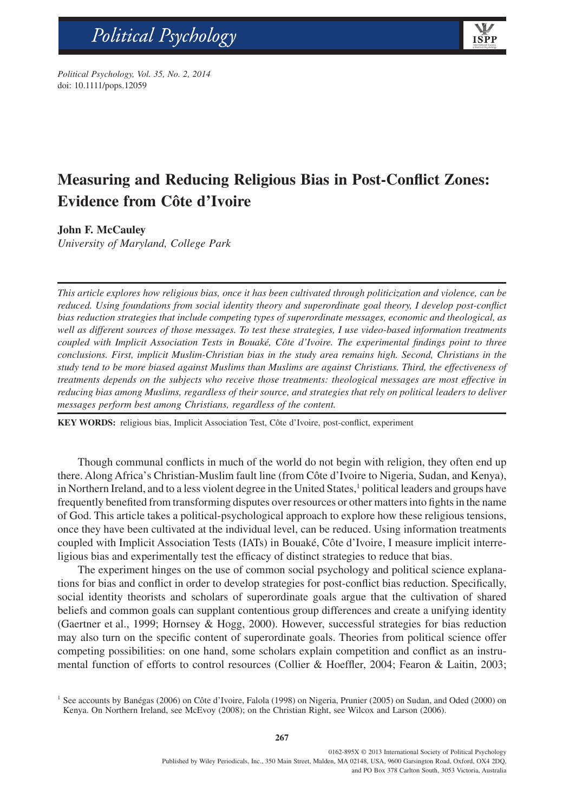*Political Psychology, Vol. 35, No. 2, 2014* doi: 10.1111/pops.12059

# **Measuring and Reducing Religious Bias in Post-Conflict Zones: Evidence from Côte d'Ivoire**

**John F. McCauley**

bs\_bs\_banner

*University of Maryland, College Park*

*This article explores how religious bias, once it has been cultivated through politicization and violence, can be reduced. Using foundations from social identity theory and superordinate goal theory, I develop post-conflict bias reduction strategies that include competing types of superordinate messages, economic and theological, as well as different sources of those messages. To test these strategies, I use video-based information treatments coupled with Implicit Association Tests in Bouaké, Côte d'Ivoire. The experimental findings point to three conclusions. First, implicit Muslim-Christian bias in the study area remains high. Second, Christians in the study tend to be more biased against Muslims than Muslims are against Christians. Third, the effectiveness of treatments depends on the subjects who receive those treatments: theological messages are most effective in reducing bias among Muslims, regardless of their source, and strategies that rely on political leaders to deliver messages perform best among Christians, regardless of the content.*

**KEY WORDS:** religious bias, Implicit Association Test, Côte d'Ivoire, post-conflict, experiment

Though communal conflicts in much of the world do not begin with religion, they often end up there. Along Africa's Christian-Muslim fault line (from Côte d'Ivoire to Nigeria, Sudan, and Kenya), in Northern Ireland, and to a less violent degree in the United States,<sup>1</sup> political leaders and groups have frequently benefited from transforming disputes over resources or other matters into fights in the name of God. This article takes a political-psychological approach to explore how these religious tensions, once they have been cultivated at the individual level, can be reduced. Using information treatments coupled with Implicit Association Tests (IATs) in Bouaké, Côte d'Ivoire, I measure implicit interreligious bias and experimentally test the efficacy of distinct strategies to reduce that bias.

The experiment hinges on the use of common social psychology and political science explanations for bias and conflict in order to develop strategies for post-conflict bias reduction. Specifically, social identity theorists and scholars of superordinate goals argue that the cultivation of shared beliefs and common goals can supplant contentious group differences and create a unifying identity (Gaertner et al., 1999; Hornsey & Hogg, 2000). However, successful strategies for bias reduction may also turn on the specific content of superordinate goals. Theories from political science offer competing possibilities: on one hand, some scholars explain competition and conflict as an instrumental function of efforts to control resources (Collier & Hoeffler, 2004; Fearon & Laitin, 2003;



<sup>1</sup> See accounts by Banégas (2006) on Côte d'Ivoire, Falola (1998) on Nigeria, Prunier (2005) on Sudan, and Oded (2000) on Kenya. On Northern Ireland, see McEvoy (2008); on the Christian Right, see Wilcox and Larson (2006).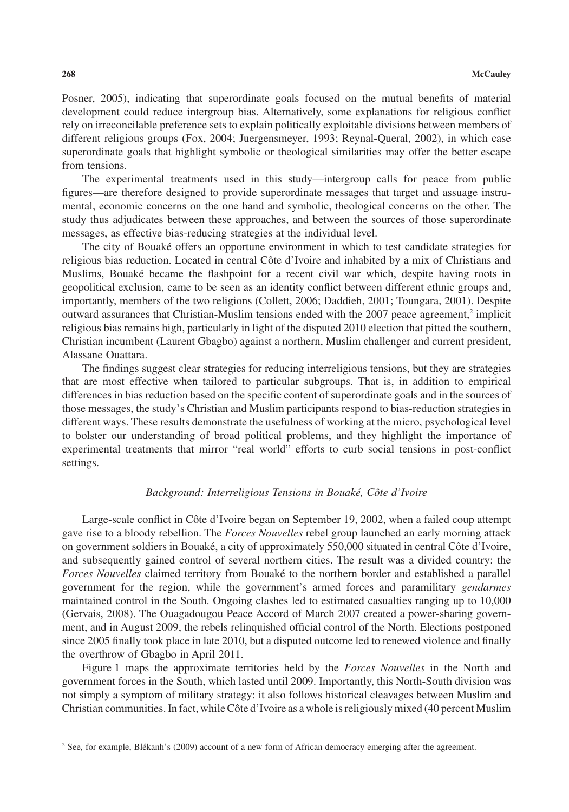Posner, 2005), indicating that superordinate goals focused on the mutual benefits of material development could reduce intergroup bias. Alternatively, some explanations for religious conflict rely on irreconcilable preference sets to explain politically exploitable divisions between members of different religious groups (Fox, 2004; Juergensmeyer, 1993; Reynal-Queral, 2002), in which case superordinate goals that highlight symbolic or theological similarities may offer the better escape from tensions.

The experimental treatments used in this study—intergroup calls for peace from public figures—are therefore designed to provide superordinate messages that target and assuage instrumental, economic concerns on the one hand and symbolic, theological concerns on the other. The study thus adjudicates between these approaches, and between the sources of those superordinate messages, as effective bias-reducing strategies at the individual level.

The city of Bouaké offers an opportune environment in which to test candidate strategies for religious bias reduction. Located in central Côte d'Ivoire and inhabited by a mix of Christians and Muslims, Bouaké became the flashpoint for a recent civil war which, despite having roots in geopolitical exclusion, came to be seen as an identity conflict between different ethnic groups and, importantly, members of the two religions (Collett, 2006; Daddieh, 2001; Toungara, 2001). Despite outward assurances that Christian-Muslim tensions ended with the 2007 peace agreement, $\frac{2}{3}$  implicit religious bias remains high, particularly in light of the disputed 2010 election that pitted the southern, Christian incumbent (Laurent Gbagbo) against a northern, Muslim challenger and current president, Alassane Ouattara.

The findings suggest clear strategies for reducing interreligious tensions, but they are strategies that are most effective when tailored to particular subgroups. That is, in addition to empirical differences in bias reduction based on the specific content of superordinate goals and in the sources of those messages, the study's Christian and Muslim participants respond to bias-reduction strategies in different ways. These results demonstrate the usefulness of working at the micro, psychological level to bolster our understanding of broad political problems, and they highlight the importance of experimental treatments that mirror "real world" efforts to curb social tensions in post-conflict settings.

# *Background: Interreligious Tensions in Bouaké, Côte d'Ivoire*

Large-scale conflict in Côte d'Ivoire began on September 19, 2002, when a failed coup attempt gave rise to a bloody rebellion. The *Forces Nouvelles* rebel group launched an early morning attack on government soldiers in Bouaké, a city of approximately 550,000 situated in central Côte d'Ivoire, and subsequently gained control of several northern cities. The result was a divided country: the *Forces Nouvelles* claimed territory from Bouaké to the northern border and established a parallel government for the region, while the government's armed forces and paramilitary *gendarmes* maintained control in the South. Ongoing clashes led to estimated casualties ranging up to 10,000 (Gervais, 2008). The Ouagadougou Peace Accord of March 2007 created a power-sharing government, and in August 2009, the rebels relinquished official control of the North. Elections postponed since 2005 finally took place in late 2010, but a disputed outcome led to renewed violence and finally the overthrow of Gbagbo in April 2011.

Figure 1 maps the approximate territories held by the *Forces Nouvelles* in the North and government forces in the South, which lasted until 2009. Importantly, this North-South division was not simply a symptom of military strategy: it also follows historical cleavages between Muslim and Christian communities. In fact, while Côte d'Ivoire as a whole is religiously mixed (40 percent Muslim

<sup>2</sup> See, for example, Blékanh's (2009) account of a new form of African democracy emerging after the agreement.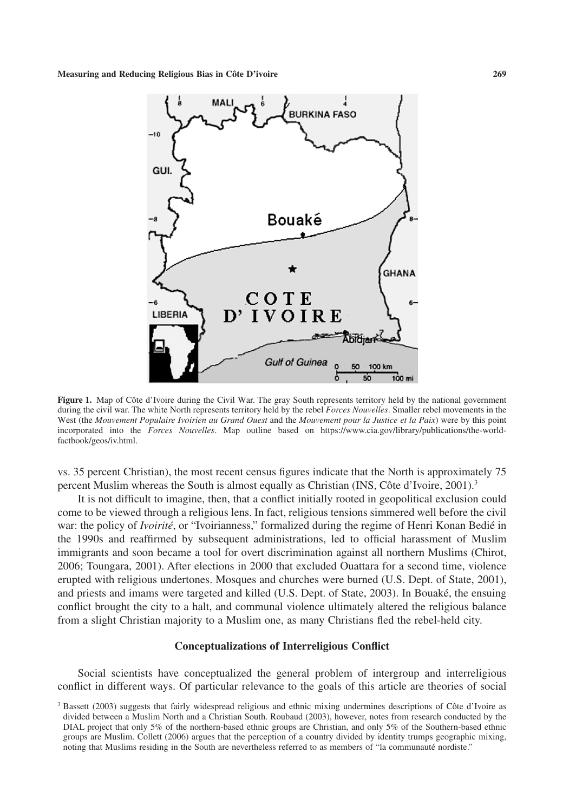

**Figure 1.** Map of Côte d'Ivoire during the Civil War. The gray South represents territory held by the national government during the civil war. The white North represents territory held by the rebel *Forces Nouvelles*. Smaller rebel movements in the West (the *Mouvement Populaire Ivoirien au Grand Ouest* and the *Mouvement pour la Justice et la Paix*) were by this point incorporated into the *Forces Nouvelles*. Map outline based on [https://www.cia.gov/library/publications/the-world](https://www.cia.gov/library/publications/the-world-factbook/geos/iv.html)[factbook/geos/iv.html.](https://www.cia.gov/library/publications/the-world-factbook/geos/iv.html)

vs. 35 percent Christian), the most recent census figures indicate that the North is approximately 75 percent Muslim whereas the South is almost equally as Christian (INS, Côte d'Ivoire, 2001).3

It is not difficult to imagine, then, that a conflict initially rooted in geopolitical exclusion could come to be viewed through a religious lens. In fact, religious tensions simmered well before the civil war: the policy of *Ivoirité*, or "Ivoirianness," formalized during the regime of Henri Konan Bedié in the 1990s and reaffirmed by subsequent administrations, led to official harassment of Muslim immigrants and soon became a tool for overt discrimination against all northern Muslims (Chirot, 2006; Toungara, 2001). After elections in 2000 that excluded Ouattara for a second time, violence erupted with religious undertones. Mosques and churches were burned (U.S. Dept. of State, 2001), and priests and imams were targeted and killed (U.S. Dept. of State, 2003). In Bouaké, the ensuing conflict brought the city to a halt, and communal violence ultimately altered the religious balance from a slight Christian majority to a Muslim one, as many Christians fled the rebel-held city.

# **Conceptualizations of Interreligious Conflict**

Social scientists have conceptualized the general problem of intergroup and interreligious conflict in different ways. Of particular relevance to the goals of this article are theories of social

<sup>3</sup> Bassett (2003) suggests that fairly widespread religious and ethnic mixing undermines descriptions of Côte d'Ivoire as divided between a Muslim North and a Christian South. Roubaud (2003), however, notes from research conducted by the DIAL project that only 5% of the northern-based ethnic groups are Christian, and only 5% of the Southern-based ethnic groups are Muslim. Collett (2006) argues that the perception of a country divided by identity trumps geographic mixing, noting that Muslims residing in the South are nevertheless referred to as members of "la communauté nordiste."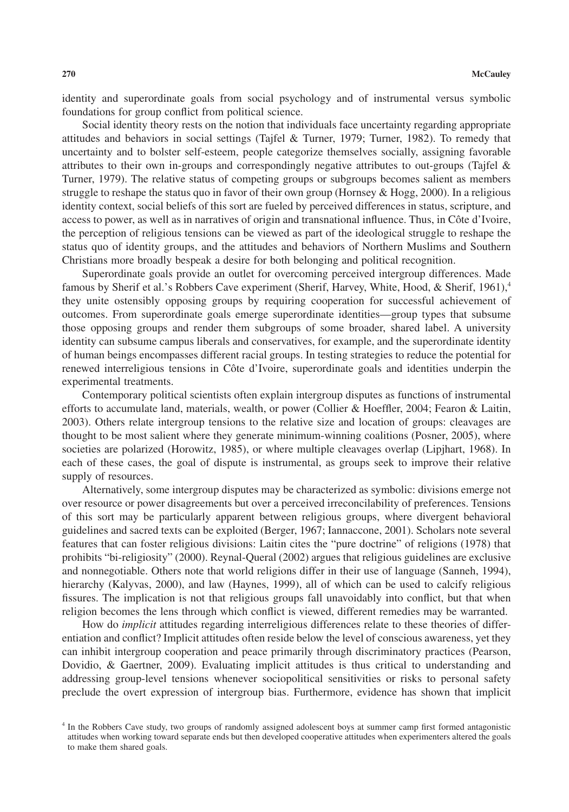identity and superordinate goals from social psychology and of instrumental versus symbolic foundations for group conflict from political science.

Social identity theory rests on the notion that individuals face uncertainty regarding appropriate attitudes and behaviors in social settings (Tajfel & Turner, 1979; Turner, 1982). To remedy that uncertainty and to bolster self-esteem, people categorize themselves socially, assigning favorable attributes to their own in-groups and correspondingly negative attributes to out-groups (Tajfel  $\&$ Turner, 1979). The relative status of competing groups or subgroups becomes salient as members struggle to reshape the status quo in favor of their own group (Hornsey & Hogg, 2000). In a religious identity context, social beliefs of this sort are fueled by perceived differences in status, scripture, and access to power, as well as in narratives of origin and transnational influence. Thus, in Côte d'Ivoire, the perception of religious tensions can be viewed as part of the ideological struggle to reshape the status quo of identity groups, and the attitudes and behaviors of Northern Muslims and Southern Christians more broadly bespeak a desire for both belonging and political recognition.

Superordinate goals provide an outlet for overcoming perceived intergroup differences. Made famous by Sherif et al.'s Robbers Cave experiment (Sherif, Harvey, White, Hood, & Sherif, 1961),<sup>4</sup> they unite ostensibly opposing groups by requiring cooperation for successful achievement of outcomes. From superordinate goals emerge superordinate identities—group types that subsume those opposing groups and render them subgroups of some broader, shared label. A university identity can subsume campus liberals and conservatives, for example, and the superordinate identity of human beings encompasses different racial groups. In testing strategies to reduce the potential for renewed interreligious tensions in Côte d'Ivoire, superordinate goals and identities underpin the experimental treatments.

Contemporary political scientists often explain intergroup disputes as functions of instrumental efforts to accumulate land, materials, wealth, or power (Collier & Hoeffler, 2004; Fearon & Laitin, 2003). Others relate intergroup tensions to the relative size and location of groups: cleavages are thought to be most salient where they generate minimum-winning coalitions (Posner, 2005), where societies are polarized (Horowitz, 1985), or where multiple cleavages overlap (Lipjhart, 1968). In each of these cases, the goal of dispute is instrumental, as groups seek to improve their relative supply of resources.

Alternatively, some intergroup disputes may be characterized as symbolic: divisions emerge not over resource or power disagreements but over a perceived irreconcilability of preferences. Tensions of this sort may be particularly apparent between religious groups, where divergent behavioral guidelines and sacred texts can be exploited (Berger, 1967; Iannaccone, 2001). Scholars note several features that can foster religious divisions: Laitin cites the "pure doctrine" of religions (1978) that prohibits "bi-religiosity" (2000). Reynal-Queral (2002) argues that religious guidelines are exclusive and nonnegotiable. Others note that world religions differ in their use of language (Sanneh, 1994), hierarchy (Kalyvas, 2000), and law (Haynes, 1999), all of which can be used to calcify religious fissures. The implication is not that religious groups fall unavoidably into conflict, but that when religion becomes the lens through which conflict is viewed, different remedies may be warranted.

How do *implicit* attitudes regarding interreligious differences relate to these theories of differentiation and conflict? Implicit attitudes often reside below the level of conscious awareness, yet they can inhibit intergroup cooperation and peace primarily through discriminatory practices (Pearson, Dovidio, & Gaertner, 2009). Evaluating implicit attitudes is thus critical to understanding and addressing group-level tensions whenever sociopolitical sensitivities or risks to personal safety preclude the overt expression of intergroup bias. Furthermore, evidence has shown that implicit

<sup>4</sup> In the Robbers Cave study, two groups of randomly assigned adolescent boys at summer camp first formed antagonistic attitudes when working toward separate ends but then developed cooperative attitudes when experimenters altered the goals to make them shared goals.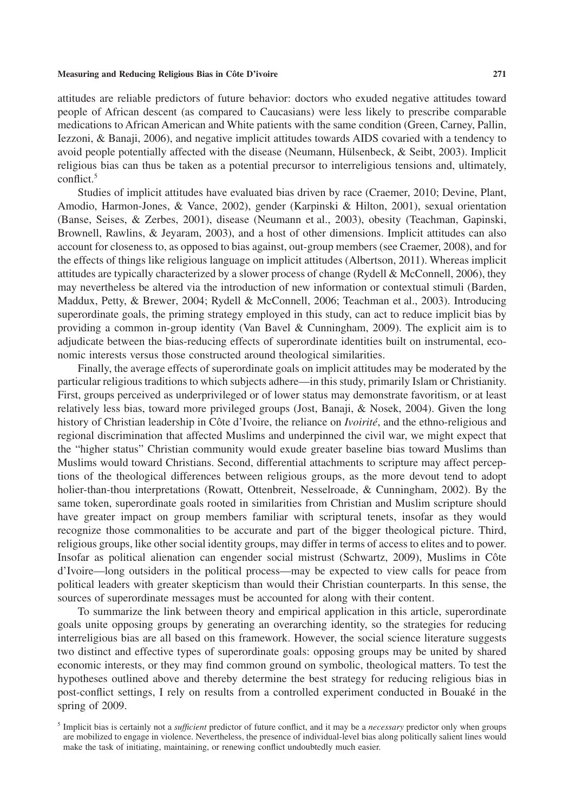attitudes are reliable predictors of future behavior: doctors who exuded negative attitudes toward people of African descent (as compared to Caucasians) were less likely to prescribe comparable medications to African American and White patients with the same condition (Green, Carney, Pallin, Iezzoni, & Banaji, 2006), and negative implicit attitudes towards AIDS covaried with a tendency to avoid people potentially affected with the disease (Neumann, Hülsenbeck, & Seibt, 2003). Implicit religious bias can thus be taken as a potential precursor to interreligious tensions and, ultimately, conflict.<sup>5</sup>

Studies of implicit attitudes have evaluated bias driven by race (Craemer, 2010; Devine, Plant, Amodio, Harmon-Jones, & Vance, 2002), gender (Karpinski & Hilton, 2001), sexual orientation (Banse, Seises, & Zerbes, 2001), disease (Neumann et al., 2003), obesity (Teachman, Gapinski, Brownell, Rawlins, & Jeyaram, 2003), and a host of other dimensions. Implicit attitudes can also account for closeness to, as opposed to bias against, out-group members (see Craemer, 2008), and for the effects of things like religious language on implicit attitudes (Albertson, 2011). Whereas implicit attitudes are typically characterized by a slower process of change (Rydell & McConnell, 2006), they may nevertheless be altered via the introduction of new information or contextual stimuli (Barden, Maddux, Petty, & Brewer, 2004; Rydell & McConnell, 2006; Teachman et al., 2003). Introducing superordinate goals, the priming strategy employed in this study, can act to reduce implicit bias by providing a common in-group identity (Van Bavel & Cunningham, 2009). The explicit aim is to adjudicate between the bias-reducing effects of superordinate identities built on instrumental, economic interests versus those constructed around theological similarities.

Finally, the average effects of superordinate goals on implicit attitudes may be moderated by the particular religious traditions to which subjects adhere—in this study, primarily Islam or Christianity. First, groups perceived as underprivileged or of lower status may demonstrate favoritism, or at least relatively less bias, toward more privileged groups (Jost, Banaji, & Nosek, 2004). Given the long history of Christian leadership in Côte d'Ivoire, the reliance on *Ivoirité*, and the ethno-religious and regional discrimination that affected Muslims and underpinned the civil war, we might expect that the "higher status" Christian community would exude greater baseline bias toward Muslims than Muslims would toward Christians. Second, differential attachments to scripture may affect perceptions of the theological differences between religious groups, as the more devout tend to adopt holier-than-thou interpretations (Rowatt, Ottenbreit, Nesselroade, & Cunningham, 2002). By the same token, superordinate goals rooted in similarities from Christian and Muslim scripture should have greater impact on group members familiar with scriptural tenets, insofar as they would recognize those commonalities to be accurate and part of the bigger theological picture. Third, religious groups, like other social identity groups, may differ in terms of access to elites and to power. Insofar as political alienation can engender social mistrust (Schwartz, 2009), Muslims in Côte d'Ivoire—long outsiders in the political process—may be expected to view calls for peace from political leaders with greater skepticism than would their Christian counterparts. In this sense, the sources of superordinate messages must be accounted for along with their content.

To summarize the link between theory and empirical application in this article, superordinate goals unite opposing groups by generating an overarching identity, so the strategies for reducing interreligious bias are all based on this framework. However, the social science literature suggests two distinct and effective types of superordinate goals: opposing groups may be united by shared economic interests, or they may find common ground on symbolic, theological matters. To test the hypotheses outlined above and thereby determine the best strategy for reducing religious bias in post-conflict settings, I rely on results from a controlled experiment conducted in Bouaké in the spring of 2009.

<sup>5</sup> Implicit bias is certainly not a *sufficient* predictor of future conflict, and it may be a *necessary* predictor only when groups are mobilized to engage in violence. Nevertheless, the presence of individual-level bias along politically salient lines would make the task of initiating, maintaining, or renewing conflict undoubtedly much easier.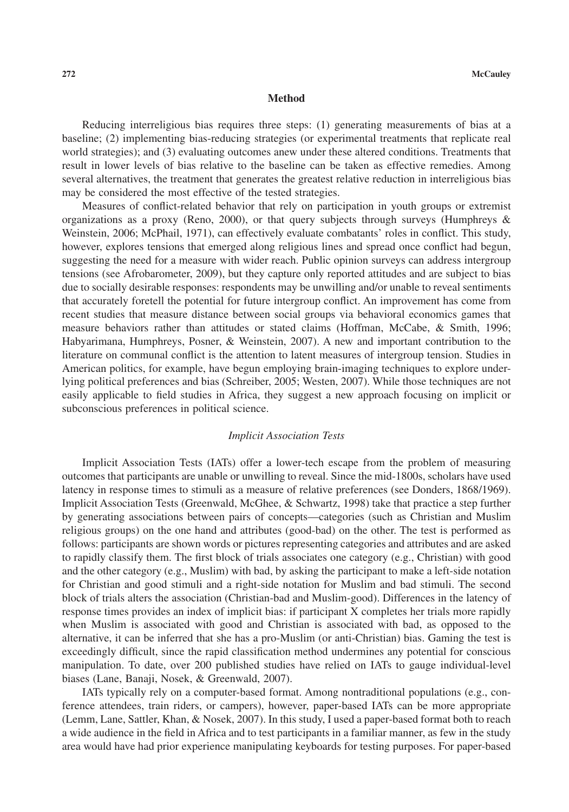#### **Method**

Reducing interreligious bias requires three steps: (1) generating measurements of bias at a baseline; (2) implementing bias-reducing strategies (or experimental treatments that replicate real world strategies); and (3) evaluating outcomes anew under these altered conditions. Treatments that result in lower levels of bias relative to the baseline can be taken as effective remedies. Among several alternatives, the treatment that generates the greatest relative reduction in interreligious bias may be considered the most effective of the tested strategies.

Measures of conflict-related behavior that rely on participation in youth groups or extremist organizations as a proxy (Reno, 2000), or that query subjects through surveys (Humphreys & Weinstein, 2006; McPhail, 1971), can effectively evaluate combatants' roles in conflict. This study, however, explores tensions that emerged along religious lines and spread once conflict had begun, suggesting the need for a measure with wider reach. Public opinion surveys can address intergroup tensions (see Afrobarometer, 2009), but they capture only reported attitudes and are subject to bias due to socially desirable responses: respondents may be unwilling and/or unable to reveal sentiments that accurately foretell the potential for future intergroup conflict. An improvement has come from recent studies that measure distance between social groups via behavioral economics games that measure behaviors rather than attitudes or stated claims (Hoffman, McCabe, & Smith, 1996; Habyarimana, Humphreys, Posner, & Weinstein, 2007). A new and important contribution to the literature on communal conflict is the attention to latent measures of intergroup tension. Studies in American politics, for example, have begun employing brain-imaging techniques to explore underlying political preferences and bias (Schreiber, 2005; Westen, 2007). While those techniques are not easily applicable to field studies in Africa, they suggest a new approach focusing on implicit or subconscious preferences in political science.

# *Implicit Association Tests*

Implicit Association Tests (IATs) offer a lower-tech escape from the problem of measuring outcomes that participants are unable or unwilling to reveal. Since the mid-1800s, scholars have used latency in response times to stimuli as a measure of relative preferences (see Donders, 1868/1969). Implicit Association Tests (Greenwald, McGhee, & Schwartz, 1998) take that practice a step further by generating associations between pairs of concepts—categories (such as Christian and Muslim religious groups) on the one hand and attributes (good-bad) on the other. The test is performed as follows: participants are shown words or pictures representing categories and attributes and are asked to rapidly classify them. The first block of trials associates one category (e.g., Christian) with good and the other category (e.g., Muslim) with bad, by asking the participant to make a left-side notation for Christian and good stimuli and a right-side notation for Muslim and bad stimuli. The second block of trials alters the association (Christian-bad and Muslim-good). Differences in the latency of response times provides an index of implicit bias: if participant X completes her trials more rapidly when Muslim is associated with good and Christian is associated with bad, as opposed to the alternative, it can be inferred that she has a pro-Muslim (or anti-Christian) bias. Gaming the test is exceedingly difficult, since the rapid classification method undermines any potential for conscious manipulation. To date, over 200 published studies have relied on IATs to gauge individual-level biases (Lane, Banaji, Nosek, & Greenwald, 2007).

IATs typically rely on a computer-based format. Among nontraditional populations (e.g., conference attendees, train riders, or campers), however, paper-based IATs can be more appropriate (Lemm, Lane, Sattler, Khan, & Nosek, 2007). In this study, I used a paper-based format both to reach a wide audience in the field in Africa and to test participants in a familiar manner, as few in the study area would have had prior experience manipulating keyboards for testing purposes. For paper-based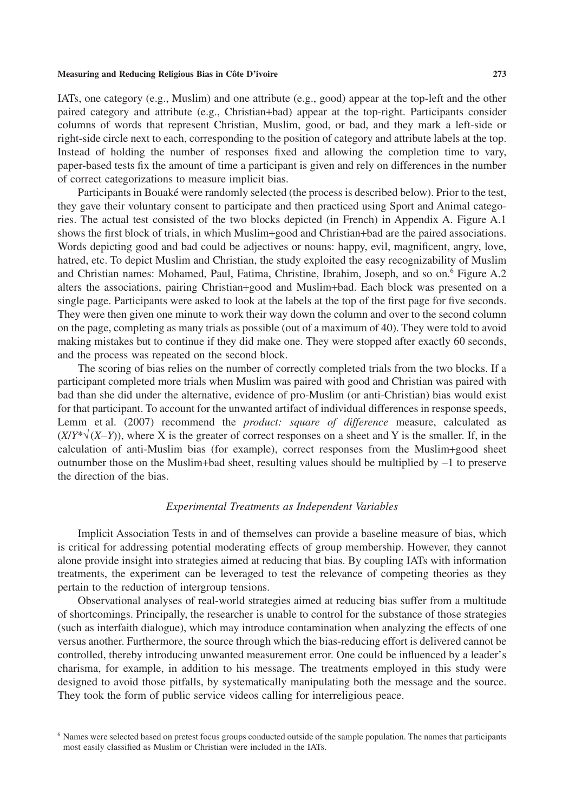IATs, one category (e.g., Muslim) and one attribute (e.g., good) appear at the top-left and the other paired category and attribute (e.g., Christian+bad) appear at the top-right. Participants consider columns of words that represent Christian, Muslim, good, or bad, and they mark a left-side or right-side circle next to each, corresponding to the position of category and attribute labels at the top. Instead of holding the number of responses fixed and allowing the completion time to vary, paper-based tests fix the amount of time a participant is given and rely on differences in the number of correct categorizations to measure implicit bias.

Participants in Bouaké were randomly selected (the process is described below). Prior to the test, they gave their voluntary consent to participate and then practiced using Sport and Animal categories. The actual test consisted of the two blocks depicted (in French) in Appendix A. Figure A.1 shows the first block of trials, in which Muslim+good and Christian+bad are the paired associations. Words depicting good and bad could be adjectives or nouns: happy, evil, magnificent, angry, love, hatred, etc. To depict Muslim and Christian, the study exploited the easy recognizability of Muslim and Christian names: Mohamed, Paul, Fatima, Christine, Ibrahim, Joseph, and so on.<sup>6</sup> Figure A.2 alters the associations, pairing Christian+good and Muslim+bad. Each block was presented on a single page. Participants were asked to look at the labels at the top of the first page for five seconds. They were then given one minute to work their way down the column and over to the second column on the page, completing as many trials as possible (out of a maximum of 40). They were told to avoid making mistakes but to continue if they did make one. They were stopped after exactly 60 seconds, and the process was repeated on the second block.

The scoring of bias relies on the number of correctly completed trials from the two blocks. If a participant completed more trials when Muslim was paired with good and Christian was paired with bad than she did under the alternative, evidence of pro-Muslim (or anti-Christian) bias would exist for that participant. To account for the unwanted artifact of individual differences in response speeds, Lemm et al. (2007) recommend the *product: square of difference* measure, calculated as (*X*/*Y*\*√(*X*−*Y*)), where X is the greater of correct responses on a sheet and Y is the smaller. If, in the calculation of anti-Muslim bias (for example), correct responses from the Muslim+good sheet outnumber those on the Muslim+bad sheet, resulting values should be multiplied by −1 to preserve the direction of the bias.

# *Experimental Treatments as Independent Variables*

Implicit Association Tests in and of themselves can provide a baseline measure of bias, which is critical for addressing potential moderating effects of group membership. However, they cannot alone provide insight into strategies aimed at reducing that bias. By coupling IATs with information treatments, the experiment can be leveraged to test the relevance of competing theories as they pertain to the reduction of intergroup tensions.

Observational analyses of real-world strategies aimed at reducing bias suffer from a multitude of shortcomings. Principally, the researcher is unable to control for the substance of those strategies (such as interfaith dialogue), which may introduce contamination when analyzing the effects of one versus another. Furthermore, the source through which the bias-reducing effort is delivered cannot be controlled, thereby introducing unwanted measurement error. One could be influenced by a leader's charisma, for example, in addition to his message. The treatments employed in this study were designed to avoid those pitfalls, by systematically manipulating both the message and the source. They took the form of public service videos calling for interreligious peace.

<sup>&</sup>lt;sup>6</sup> Names were selected based on pretest focus groups conducted outside of the sample population. The names that participants most easily classified as Muslim or Christian were included in the IATs.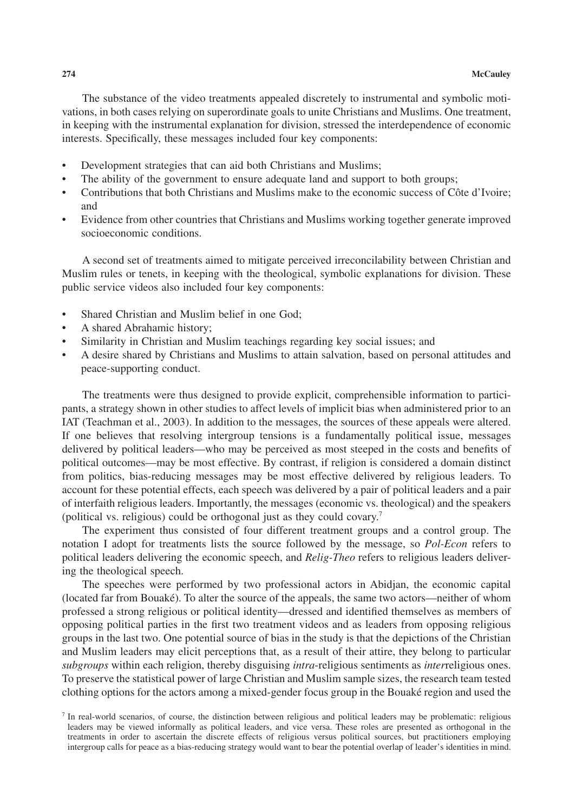The substance of the video treatments appealed discretely to instrumental and symbolic motivations, in both cases relying on superordinate goals to unite Christians and Muslims. One treatment, in keeping with the instrumental explanation for division, stressed the interdependence of economic interests. Specifically, these messages included four key components:

- Development strategies that can aid both Christians and Muslims;
- The ability of the government to ensure adequate land and support to both groups;
- Contributions that both Christians and Muslims make to the economic success of Côte d'Ivoire; and
- Evidence from other countries that Christians and Muslims working together generate improved socioeconomic conditions.

A second set of treatments aimed to mitigate perceived irreconcilability between Christian and Muslim rules or tenets, in keeping with the theological, symbolic explanations for division. These public service videos also included four key components:

- Shared Christian and Muslim belief in one God;
- A shared Abrahamic history;
- Similarity in Christian and Muslim teachings regarding key social issues; and
- A desire shared by Christians and Muslims to attain salvation, based on personal attitudes and peace-supporting conduct.

The treatments were thus designed to provide explicit, comprehensible information to participants, a strategy shown in other studies to affect levels of implicit bias when administered prior to an IAT (Teachman et al., 2003). In addition to the messages, the sources of these appeals were altered. If one believes that resolving intergroup tensions is a fundamentally political issue, messages delivered by political leaders—who may be perceived as most steeped in the costs and benefits of political outcomes—may be most effective. By contrast, if religion is considered a domain distinct from politics, bias-reducing messages may be most effective delivered by religious leaders. To account for these potential effects, each speech was delivered by a pair of political leaders and a pair of interfaith religious leaders. Importantly, the messages (economic vs. theological) and the speakers (political vs. religious) could be orthogonal just as they could covary.7

The experiment thus consisted of four different treatment groups and a control group. The notation I adopt for treatments lists the source followed by the message, so *Pol-Econ* refers to political leaders delivering the economic speech, and *Relig-Theo* refers to religious leaders delivering the theological speech.

The speeches were performed by two professional actors in Abidjan, the economic capital (located far from Bouaké). To alter the source of the appeals, the same two actors—neither of whom professed a strong religious or political identity—dressed and identified themselves as members of opposing political parties in the first two treatment videos and as leaders from opposing religious groups in the last two. One potential source of bias in the study is that the depictions of the Christian and Muslim leaders may elicit perceptions that, as a result of their attire, they belong to particular *subgroups* within each religion, thereby disguising *intra*-religious sentiments as *inter*religious ones. To preserve the statistical power of large Christian and Muslim sample sizes, the research team tested clothing options for the actors among a mixed-gender focus group in the Bouaké region and used the

<sup>7</sup> In real-world scenarios, of course, the distinction between religious and political leaders may be problematic: religious leaders may be viewed informally as political leaders, and vice versa. These roles are presented as orthogonal in the treatments in order to ascertain the discrete effects of religious versus political sources, but practitioners employing intergroup calls for peace as a bias-reducing strategy would want to bear the potential overlap of leader's identities in mind.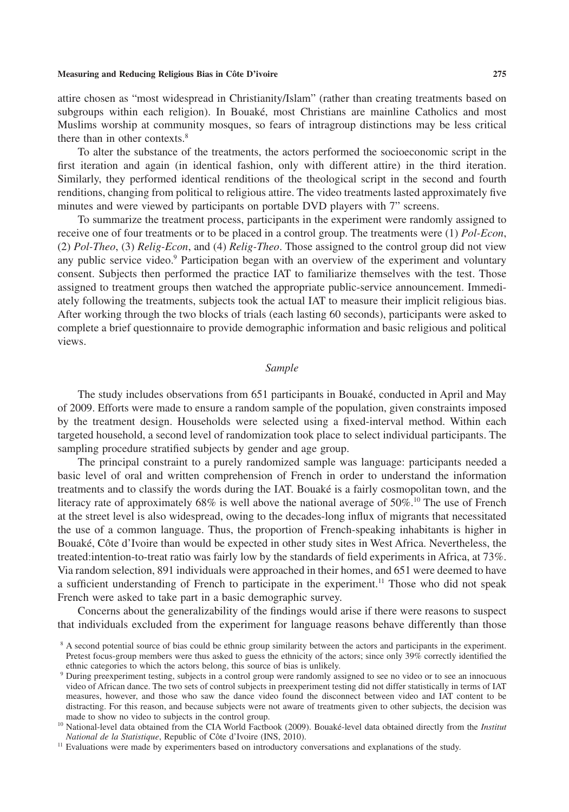attire chosen as "most widespread in Christianity/Islam" (rather than creating treatments based on subgroups within each religion). In Bouaké, most Christians are mainline Catholics and most Muslims worship at community mosques, so fears of intragroup distinctions may be less critical there than in other contexts.<sup>8</sup>

To alter the substance of the treatments, the actors performed the socioeconomic script in the first iteration and again (in identical fashion, only with different attire) in the third iteration. Similarly, they performed identical renditions of the theological script in the second and fourth renditions, changing from political to religious attire. The video treatments lasted approximately five minutes and were viewed by participants on portable DVD players with 7" screens.

To summarize the treatment process, participants in the experiment were randomly assigned to receive one of four treatments or to be placed in a control group. The treatments were (1) *Pol-Econ*, (2) *Pol-Theo*, (3) *Relig-Econ*, and (4) *Relig-Theo*. Those assigned to the control group did not view any public service video.<sup>9</sup> Participation began with an overview of the experiment and voluntary consent. Subjects then performed the practice IAT to familiarize themselves with the test. Those assigned to treatment groups then watched the appropriate public-service announcement. Immediately following the treatments, subjects took the actual IAT to measure their implicit religious bias. After working through the two blocks of trials (each lasting 60 seconds), participants were asked to complete a brief questionnaire to provide demographic information and basic religious and political views.

# *Sample*

The study includes observations from 651 participants in Bouaké, conducted in April and May of 2009. Efforts were made to ensure a random sample of the population, given constraints imposed by the treatment design. Households were selected using a fixed-interval method. Within each targeted household, a second level of randomization took place to select individual participants. The sampling procedure stratified subjects by gender and age group.

The principal constraint to a purely randomized sample was language: participants needed a basic level of oral and written comprehension of French in order to understand the information treatments and to classify the words during the IAT. Bouaké is a fairly cosmopolitan town, and the literacy rate of approximately  $68\%$  is well above the national average of  $50\%$ .<sup>10</sup> The use of French at the street level is also widespread, owing to the decades-long influx of migrants that necessitated the use of a common language. Thus, the proportion of French-speaking inhabitants is higher in Bouaké, Côte d'Ivoire than would be expected in other study sites in West Africa. Nevertheless, the treated:intention-to-treat ratio was fairly low by the standards of field experiments in Africa, at 73%. Via random selection, 891 individuals were approached in their homes, and 651 were deemed to have a sufficient understanding of French to participate in the experiment.<sup>11</sup> Those who did not speak French were asked to take part in a basic demographic survey.

Concerns about the generalizability of the findings would arise if there were reasons to suspect that individuals excluded from the experiment for language reasons behave differently than those

<sup>&</sup>lt;sup>8</sup> A second potential source of bias could be ethnic group similarity between the actors and participants in the experiment. Pretest focus-group members were thus asked to guess the ethnicity of the actors; since only 39% correctly identified the ethnic categories to which the actors belong, this source of bias is unlikely.

<sup>9</sup> During preexperiment testing, subjects in a control group were randomly assigned to see no video or to see an innocuous video of African dance. The two sets of control subjects in preexperiment testing did not differ statistically in terms of IAT measures, however, and those who saw the dance video found the disconnect between video and IAT content to be distracting. For this reason, and because subjects were not aware of treatments given to other subjects, the decision was made to show no video to subjects in the control group.

<sup>10</sup> National-level data obtained from the CIA World Factbook (2009). Bouaké-level data obtained directly from the *Institut National de la Statistique*, Republic of Côte d'Ivoire (INS, 2010).

<sup>&</sup>lt;sup>11</sup> Evaluations were made by experimenters based on introductory conversations and explanations of the study.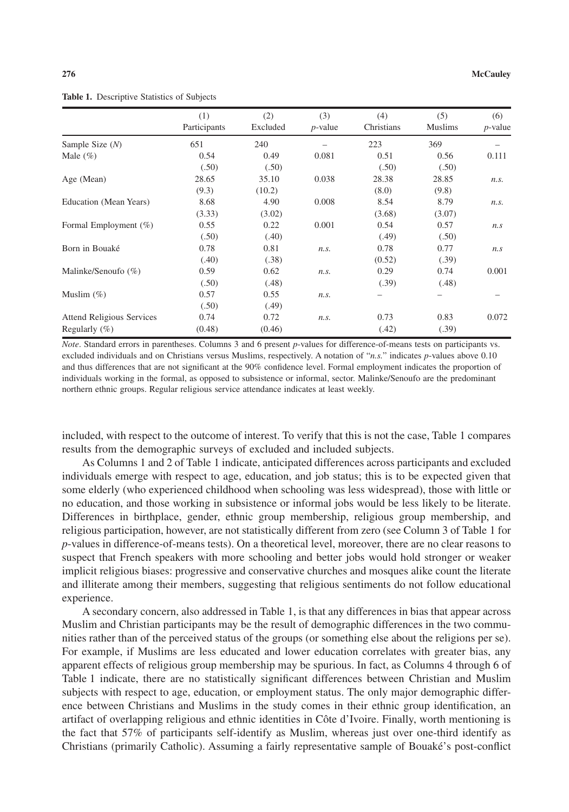#### **Table 1.** Descriptive Statistics of Subjects

|                                  | (1)<br>Participants | (2)<br>Excluded | (3)<br>$p$ -value | (4)<br>Christians | (5)<br>Muslims | (6)<br>$p$ -value |
|----------------------------------|---------------------|-----------------|-------------------|-------------------|----------------|-------------------|
| Sample Size $(N)$                | 651                 | 240             |                   | 223               | 369            |                   |
| Male $(\% )$                     | 0.54                | 0.49            | 0.081             | 0.51              | 0.56           | 0.111             |
|                                  | (.50)               | (.50)           |                   | (.50)             | (.50)          |                   |
| Age (Mean)                       | 28.65               | 35.10           | 0.038             | 28.38             | 28.85          | n.s.              |
|                                  | (9.3)               | (10.2)          |                   | (8.0)             | (9.8)          |                   |
| Education (Mean Years)           | 8.68                | 4.90            | 0.008             | 8.54              | 8.79           | n.s.              |
|                                  | (3.33)              | (3.02)          |                   | (3.68)            | (3.07)         |                   |
| Formal Employment (%)            | 0.55                | 0.22            | 0.001             | 0.54              | 0.57           | n.s               |
|                                  | (.50)               | (.40)           |                   | (.49)             | (.50)          |                   |
| Born in Bouaké                   | 0.78                | 0.81            | n.s.              | 0.78              | 0.77           | n.s               |
|                                  | (.40)               | (.38)           |                   | (0.52)            | (.39)          |                   |
| Malinke/Senoufo $(\%)$           | 0.59                | 0.62            | n.s.              | 0.29              | 0.74           | 0.001             |
|                                  | (.50)               | (.48)           |                   | (.39)             | (.48)          |                   |
| Muslim $(\%)$                    | 0.57                | 0.55            | n.s.              |                   |                |                   |
|                                  | (.50)               | (.49)           |                   |                   |                |                   |
| <b>Attend Religious Services</b> | 0.74                | 0.72            | n.s.              | 0.73              | 0.83           | 0.072             |
| Regularly $(\%)$                 | (0.48)              | (0.46)          |                   | (.42)             | (.39)          |                   |

*Note*. Standard errors in parentheses. Columns 3 and 6 present *p*-values for difference-of-means tests on participants vs. excluded individuals and on Christians versus Muslims, respectively. A notation of "*n.s.*" indicates *p*-values above 0.10 and thus differences that are not significant at the 90% confidence level. Formal employment indicates the proportion of individuals working in the formal, as opposed to subsistence or informal, sector. Malinke/Senoufo are the predominant northern ethnic groups. Regular religious service attendance indicates at least weekly.

included, with respect to the outcome of interest. To verify that this is not the case, Table 1 compares results from the demographic surveys of excluded and included subjects.

As Columns 1 and 2 of Table 1 indicate, anticipated differences across participants and excluded individuals emerge with respect to age, education, and job status; this is to be expected given that some elderly (who experienced childhood when schooling was less widespread), those with little or no education, and those working in subsistence or informal jobs would be less likely to be literate. Differences in birthplace, gender, ethnic group membership, religious group membership, and religious participation, however, are not statistically different from zero (see Column 3 of Table 1 for *p*-values in difference-of-means tests). On a theoretical level, moreover, there are no clear reasons to suspect that French speakers with more schooling and better jobs would hold stronger or weaker implicit religious biases: progressive and conservative churches and mosques alike count the literate and illiterate among their members, suggesting that religious sentiments do not follow educational experience.

A secondary concern, also addressed in Table 1, is that any differences in bias that appear across Muslim and Christian participants may be the result of demographic differences in the two communities rather than of the perceived status of the groups (or something else about the religions per se). For example, if Muslims are less educated and lower education correlates with greater bias, any apparent effects of religious group membership may be spurious. In fact, as Columns 4 through 6 of Table 1 indicate, there are no statistically significant differences between Christian and Muslim subjects with respect to age, education, or employment status. The only major demographic difference between Christians and Muslims in the study comes in their ethnic group identification, an artifact of overlapping religious and ethnic identities in Côte d'Ivoire. Finally, worth mentioning is the fact that 57% of participants self-identify as Muslim, whereas just over one-third identify as Christians (primarily Catholic). Assuming a fairly representative sample of Bouaké's post-conflict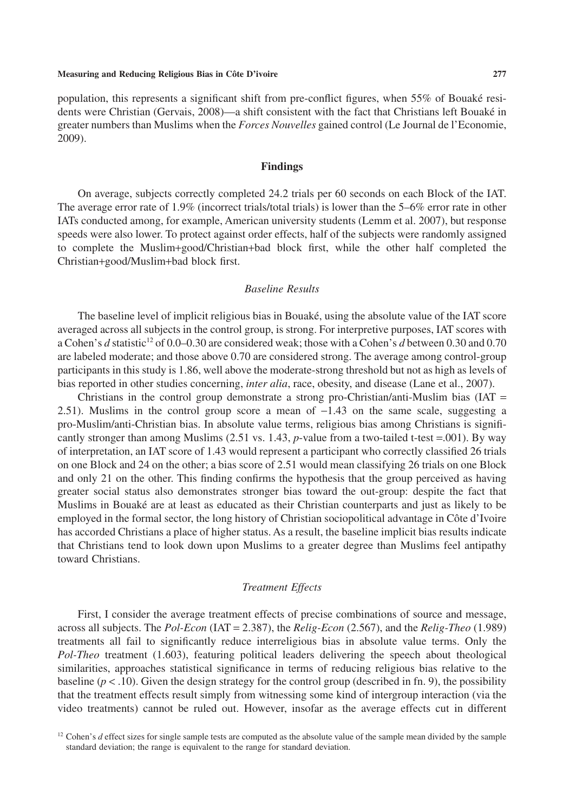population, this represents a significant shift from pre-conflict figures, when 55% of Bouaké residents were Christian (Gervais, 2008)—a shift consistent with the fact that Christians left Bouaké in greater numbers than Muslims when the *Forces Nouvelles* gained control (Le Journal de l'Economie, 2009).

#### **Findings**

On average, subjects correctly completed 24.2 trials per 60 seconds on each Block of the IAT. The average error rate of 1.9% (incorrect trials/total trials) is lower than the 5–6% error rate in other IATs conducted among, for example, American university students (Lemm et al. 2007), but response speeds were also lower. To protect against order effects, half of the subjects were randomly assigned to complete the Muslim+good/Christian+bad block first, while the other half completed the Christian+good/Muslim+bad block first.

# *Baseline Results*

The baseline level of implicit religious bias in Bouaké, using the absolute value of the IAT score averaged across all subjects in the control group, is strong. For interpretive purposes, IAT scores with a Cohen's *d* statistic<sup>12</sup> of 0.0–0.30 are considered weak; those with a Cohen's *d* between 0.30 and 0.70 are labeled moderate; and those above 0.70 are considered strong. The average among control-group participants in this study is 1.86, well above the moderate-strong threshold but not as high as levels of bias reported in other studies concerning, *inter alia*, race, obesity, and disease (Lane et al., 2007).

Christians in the control group demonstrate a strong pro-Christian/anti-Muslim bias ( $IAT =$ 2.51). Muslims in the control group score a mean of −1.43 on the same scale, suggesting a pro-Muslim/anti-Christian bias. In absolute value terms, religious bias among Christians is significantly stronger than among Muslims (2.51 vs. 1.43, *p*-value from a two-tailed t-test = 0.01). By way of interpretation, an IAT score of 1.43 would represent a participant who correctly classified 26 trials on one Block and 24 on the other; a bias score of 2.51 would mean classifying 26 trials on one Block and only 21 on the other. This finding confirms the hypothesis that the group perceived as having greater social status also demonstrates stronger bias toward the out-group: despite the fact that Muslims in Bouaké are at least as educated as their Christian counterparts and just as likely to be employed in the formal sector, the long history of Christian sociopolitical advantage in Côte d'Ivoire has accorded Christians a place of higher status. As a result, the baseline implicit bias results indicate that Christians tend to look down upon Muslims to a greater degree than Muslims feel antipathy toward Christians.

# *Treatment Effects*

First, I consider the average treatment effects of precise combinations of source and message, across all subjects. The *Pol-Econ* (IAT = 2.387), the *Relig-Econ* (2.567), and the *Relig-Theo* (1.989) treatments all fail to significantly reduce interreligious bias in absolute value terms. Only the *Pol-Theo* treatment (1.603), featuring political leaders delivering the speech about theological similarities, approaches statistical significance in terms of reducing religious bias relative to the baseline  $(p < .10)$ . Given the design strategy for the control group (described in fn. 9), the possibility that the treatment effects result simply from witnessing some kind of intergroup interaction (via the video treatments) cannot be ruled out. However, insofar as the average effects cut in different

 $12$  Cohen's *d* effect sizes for single sample tests are computed as the absolute value of the sample mean divided by the sample standard deviation; the range is equivalent to the range for standard deviation.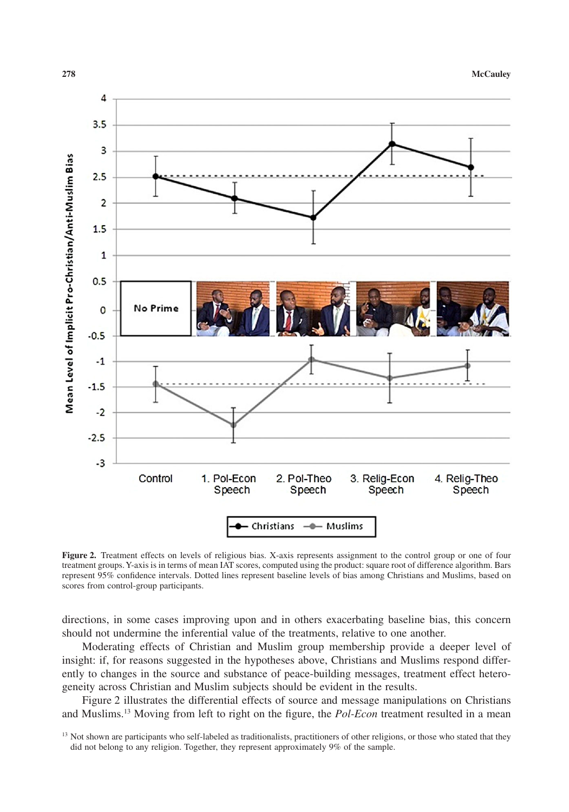

**Figure 2.** Treatment effects on levels of religious bias. X-axis represents assignment to the control group or one of four treatment groups.Y-axis is in terms of mean IAT scores, computed using the product: square root of difference algorithm. Bars represent 95% confidence intervals. Dotted lines represent baseline levels of bias among Christians and Muslims, based on scores from control-group participants.

directions, in some cases improving upon and in others exacerbating baseline bias, this concern should not undermine the inferential value of the treatments, relative to one another.

Moderating effects of Christian and Muslim group membership provide a deeper level of insight: if, for reasons suggested in the hypotheses above, Christians and Muslims respond differently to changes in the source and substance of peace-building messages, treatment effect heterogeneity across Christian and Muslim subjects should be evident in the results.

Figure 2 illustrates the differential effects of source and message manipulations on Christians and Muslims.13 Moving from left to right on the figure, the *Pol-Econ* treatment resulted in a mean

<sup>&</sup>lt;sup>13</sup> Not shown are participants who self-labeled as traditionalists, practitioners of other religions, or those who stated that they did not belong to any religion. Together, they represent approximately 9% of the sample.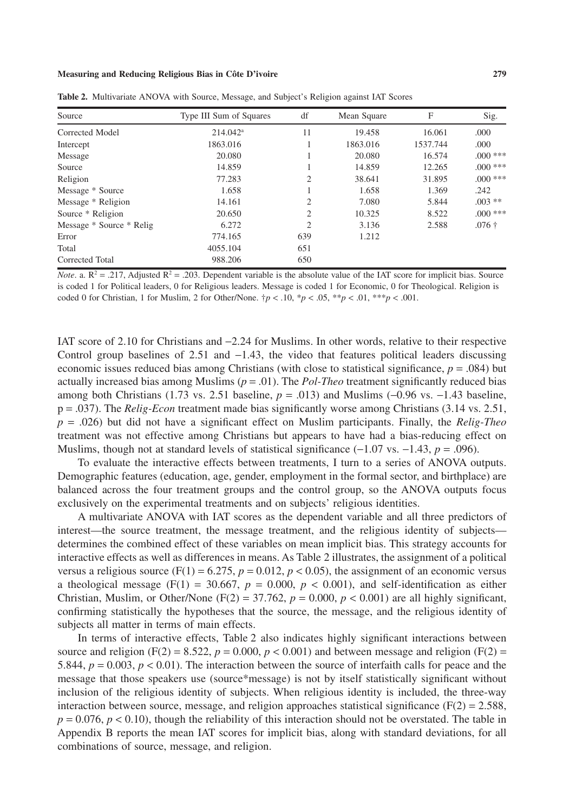| Source                   | Type III Sum of Squares | df             | Mean Square | F        | Sig.       |
|--------------------------|-------------------------|----------------|-------------|----------|------------|
| Corrected Model          | $214.042^a$             | 11             | 19.458      | 16.061   | .000       |
| Intercept                | 1863.016                |                | 1863.016    | 1537.744 | .000       |
| Message                  | 20.080                  |                | 20.080      | 16.574   | $.000$ *** |
| Source                   | 14.859                  |                | 14.859      | 12.265   | $.000$ *** |
| Religion                 | 77.283                  | 2              | 38.641      | 31.895   | $.000$ *** |
| Message * Source         | 1.658                   |                | 1.658       | 1.369    | .242       |
| Message * Religion       | 14.161                  | 2              | 7.080       | 5.844    | $.003**$   |
| Source * Religion        | 20.650                  | $\overline{c}$ | 10.325      | 8.522    | $.000$ *** |
| Message * Source * Relig | 6.272                   | $\overline{c}$ | 3.136       | 2.588    | $.076 +$   |
| Error                    | 774.165                 | 639            | 1.212       |          |            |
| Total                    | 4055.104                | 651            |             |          |            |
| Corrected Total          | 988.206                 | 650            |             |          |            |
|                          |                         |                |             |          |            |

**Table 2.** Multivariate ANOVA with Source, Message, and Subject's Religion against IAT Scores

*Note*. a.  $R^2 = .217$ , Adjusted  $R^2 = .203$ . Dependent variable is the absolute value of the IAT score for implicit bias. Source is coded 1 for Political leaders, 0 for Religious leaders. Message is coded 1 for Economic, 0 for Theological. Religion is coded 0 for Christian, 1 for Muslim, 2 for Other/None.  $\frac{1}{7}p < .10$ ,  $\frac{1}{7}p < .05$ ,  $\frac{1}{7}p < .01$ ,  $\frac{1}{7}p < .001$ .

IAT score of 2.10 for Christians and −2.24 for Muslims. In other words, relative to their respective Control group baselines of 2.51 and −1.43, the video that features political leaders discussing economic issues reduced bias among Christians (with close to statistical significance, *p* = .084) but actually increased bias among Muslims (*p* = .01). The *Pol-Theo* treatment significantly reduced bias among both Christians (1.73 vs. 2.51 baseline, *p* = .013) and Muslims (−0.96 vs. −1.43 baseline, p = .037). The *Relig-Econ* treatment made bias significantly worse among Christians (3.14 vs. 2.51, *p* = .026) but did not have a significant effect on Muslim participants. Finally, the *Relig-Theo* treatment was not effective among Christians but appears to have had a bias-reducing effect on Muslims, though not at standard levels of statistical significance  $(-1.07 \text{ vs. } -1.43, p = .096)$ .

To evaluate the interactive effects between treatments, I turn to a series of ANOVA outputs. Demographic features (education, age, gender, employment in the formal sector, and birthplace) are balanced across the four treatment groups and the control group, so the ANOVA outputs focus exclusively on the experimental treatments and on subjects' religious identities.

A multivariate ANOVA with IAT scores as the dependent variable and all three predictors of interest—the source treatment, the message treatment, and the religious identity of subjects determines the combined effect of these variables on mean implicit bias. This strategy accounts for interactive effects as well as differences in means. As Table 2 illustrates, the assignment of a political versus a religious source  $(F(1) = 6.275, p = 0.012, p < 0.05)$ , the assignment of an economic versus a theological message (F(1) = 30.667,  $p = 0.000$ ,  $p < 0.001$ ), and self-identification as either Christian, Muslim, or Other/None ( $F(2) = 37.762$ ,  $p = 0.000$ ,  $p < 0.001$ ) are all highly significant, confirming statistically the hypotheses that the source, the message, and the religious identity of subjects all matter in terms of main effects.

In terms of interactive effects, Table 2 also indicates highly significant interactions between source and religion  $(F(2) = 8.522, p = 0.000, p < 0.001)$  and between message and religion  $(F(2) = 0.000, p < 0.001)$ 5.844,  $p = 0.003$ ,  $p < 0.01$ ). The interaction between the source of interfaith calls for peace and the message that those speakers use (source\*message) is not by itself statistically significant without inclusion of the religious identity of subjects. When religious identity is included, the three-way interaction between source, message, and religion approaches statistical significance ( $F(2) = 2.588$ ,  $p = 0.076$ ,  $p < 0.10$ ), though the reliability of this interaction should not be overstated. The table in Appendix B reports the mean IAT scores for implicit bias, along with standard deviations, for all combinations of source, message, and religion.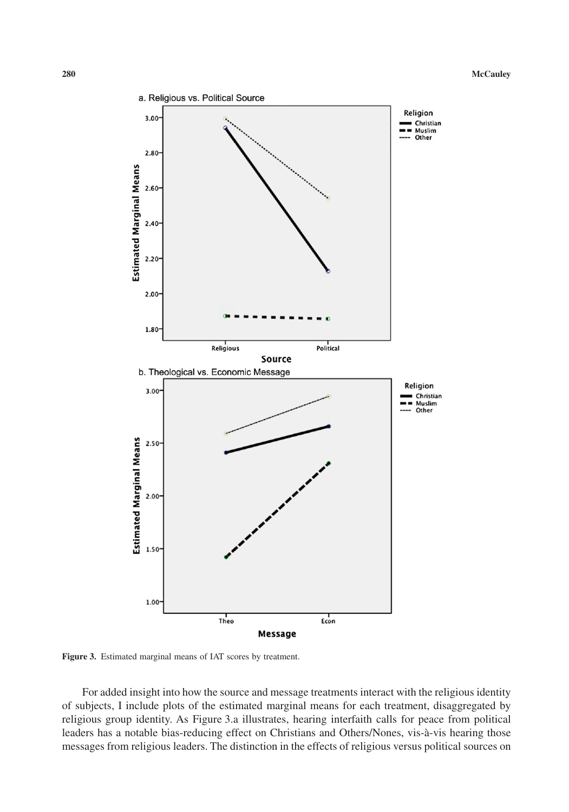

**Figure 3.** Estimated marginal means of IAT scores by treatment.

For added insight into how the source and message treatments interact with the religious identity of subjects, I include plots of the estimated marginal means for each treatment, disaggregated by religious group identity. As Figure 3.a illustrates, hearing interfaith calls for peace from political leaders has a notable bias-reducing effect on Christians and Others/Nones, vis-à-vis hearing those messages from religious leaders. The distinction in the effects of religious versus political sources on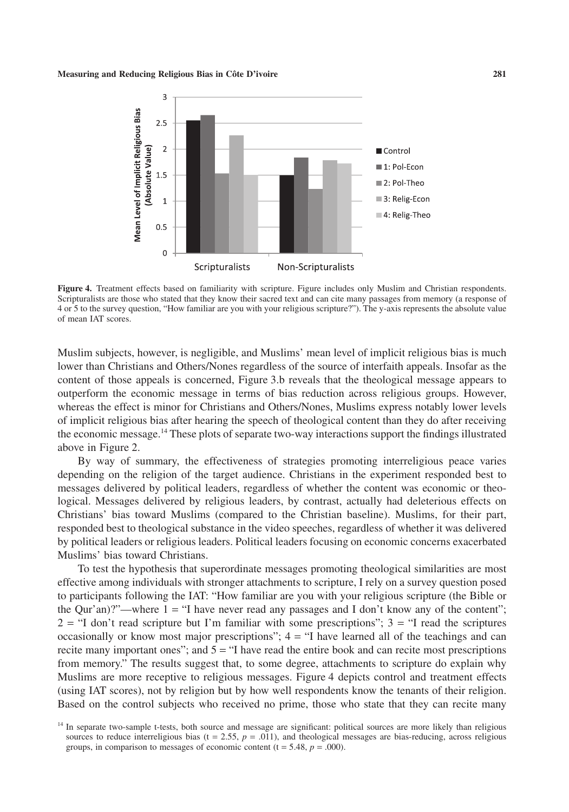

**Figure 4.** Treatment effects based on familiarity with scripture. Figure includes only Muslim and Christian respondents. Scripturalists are those who stated that they know their sacred text and can cite many passages from memory (a response of 4 or 5 to the survey question, "How familiar are you with your religious scripture?"). The y-axis represents the absolute value of mean IAT scores.

Muslim subjects, however, is negligible, and Muslims' mean level of implicit religious bias is much lower than Christians and Others/Nones regardless of the source of interfaith appeals. Insofar as the content of those appeals is concerned, Figure 3.b reveals that the theological message appears to outperform the economic message in terms of bias reduction across religious groups. However, whereas the effect is minor for Christians and Others/Nones, Muslims express notably lower levels of implicit religious bias after hearing the speech of theological content than they do after receiving the economic message.14 These plots of separate two-way interactions support the findings illustrated above in Figure 2.

By way of summary, the effectiveness of strategies promoting interreligious peace varies depending on the religion of the target audience. Christians in the experiment responded best to messages delivered by political leaders, regardless of whether the content was economic or theological. Messages delivered by religious leaders, by contrast, actually had deleterious effects on Christians' bias toward Muslims (compared to the Christian baseline). Muslims, for their part, responded best to theological substance in the video speeches, regardless of whether it was delivered by political leaders or religious leaders. Political leaders focusing on economic concerns exacerbated Muslims' bias toward Christians.

To test the hypothesis that superordinate messages promoting theological similarities are most effective among individuals with stronger attachments to scripture, I rely on a survey question posed to participants following the IAT: "How familiar are you with your religious scripture (the Bible or the Qur'an)?"—where  $1 =$  "I have never read any passages and I don't know any of the content";  $2 =$  "I don't read scripture but I'm familiar with some prescriptions";  $3 =$  "I read the scriptures occasionally or know most major prescriptions";  $4 =$  "I have learned all of the teachings and can recite many important ones"; and  $5 =$  "I have read the entire book and can recite most prescriptions from memory." The results suggest that, to some degree, attachments to scripture do explain why Muslims are more receptive to religious messages. Figure 4 depicts control and treatment effects (using IAT scores), not by religion but by how well respondents know the tenants of their religion. Based on the control subjects who received no prime, those who state that they can recite many

<sup>&</sup>lt;sup>14</sup> In separate two-sample t-tests, both source and message are significant: political sources are more likely than religious sources to reduce interreligious bias (t = 2.55,  $p = .011$ ), and theological messages are bias-reducing, across religious groups, in comparison to messages of economic content  $(t = 5.48, p = .000)$ .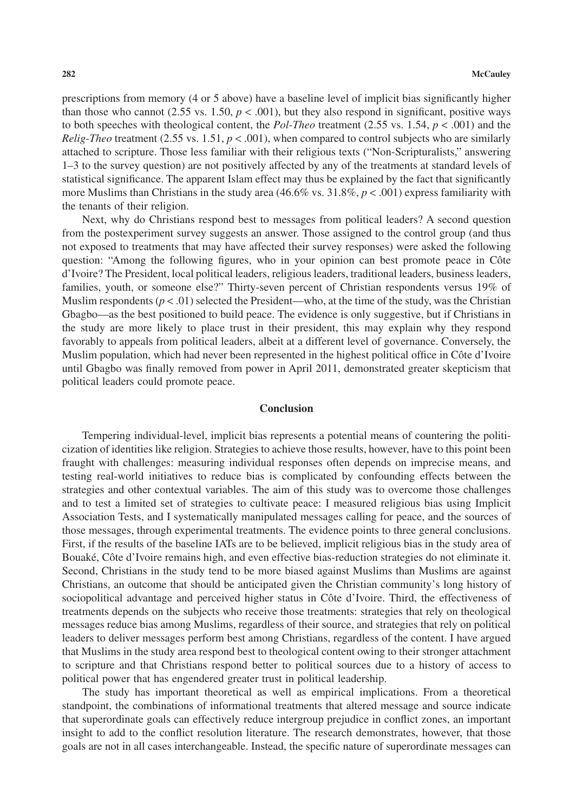prescriptions from memory (4 or 5 above) have a baseline level of implicit bias significantly higher than those who cannot  $(2.55 \text{ vs. } 1.50, p < .001)$ , but they also respond in significant, positive ways to both speeches with theological content, the *Pol-Theo* treatment (2.55 vs. 1.54, *p* < .001) and the *Relig-Theo* treatment (2.55 vs. 1.51, *p* < .001), when compared to control subjects who are similarly attached to scripture. Those less familiar with their religious texts ("Non-Scripturalists," answering 1–3 to the survey question) are not positively affected by any of the treatments at standard levels of statistical significance. The apparent Islam effect may thus be explained by the fact that significantly more Muslims than Christians in the study area (46.6% vs. 31.8%,  $p < .001$ ) express familiarity with the tenants of their religion.

Next, why do Christians respond best to messages from political leaders? A second question from the postexperiment survey suggests an answer. Those assigned to the control group (and thus not exposed to treatments that may have affected their survey responses) were asked the following question: "Among the following figures, who in your opinion can best promote peace in Côte d'Ivoire? The President, local political leaders, religious leaders, traditional leaders, business leaders, families, youth, or someone else?" Thirty-seven percent of Christian respondents versus 19% of Muslim respondents  $(p < .01)$  selected the President—who, at the time of the study, was the Christian Gbagbo—as the best positioned to build peace. The evidence is only suggestive, but if Christians in the study are more likely to place trust in their president, this may explain why they respond favorably to appeals from political leaders, albeit at a different level of governance. Conversely, the Muslim population, which had never been represented in the highest political office in Côte d'Ivoire until Gbagbo was finally removed from power in April 2011, demonstrated greater skepticism that political leaders could promote peace.

# **Conclusion**

Tempering individual-level, implicit bias represents a potential means of countering the politicization of identities like religion. Strategies to achieve those results, however, have to this point been fraught with challenges: measuring individual responses often depends on imprecise means, and testing real-world initiatives to reduce bias is complicated by confounding effects between the strategies and other contextual variables. The aim of this study was to overcome those challenges and to test a limited set of strategies to cultivate peace: I measured religious bias using Implicit Association Tests, and I systematically manipulated messages calling for peace, and the sources of those messages, through experimental treatments. The evidence points to three general conclusions. First, if the results of the baseline IATs are to be believed, implicit religious bias in the study area of Bouaké, Côte d'Ivoire remains high, and even effective bias-reduction strategies do not eliminate it. Second, Christians in the study tend to be more biased against Muslims than Muslims are against Christians, an outcome that should be anticipated given the Christian community's long history of sociopolitical advantage and perceived higher status in Côte d'Ivoire. Third, the effectiveness of treatments depends on the subjects who receive those treatments: strategies that rely on theological messages reduce bias among Muslims, regardless of their source, and strategies that rely on political leaders to deliver messages perform best among Christians, regardless of the content. I have argued that Muslims in the study area respond best to theological content owing to their stronger attachment to scripture and that Christians respond better to political sources due to a history of access to political power that has engendered greater trust in political leadership.

The study has important theoretical as well as empirical implications. From a theoretical standpoint, the combinations of informational treatments that altered message and source indicate that superordinate goals can effectively reduce intergroup prejudice in conflict zones, an important insight to add to the conflict resolution literature. The research demonstrates, however, that those goals are not in all cases interchangeable. Instead, the specific nature of superordinate messages can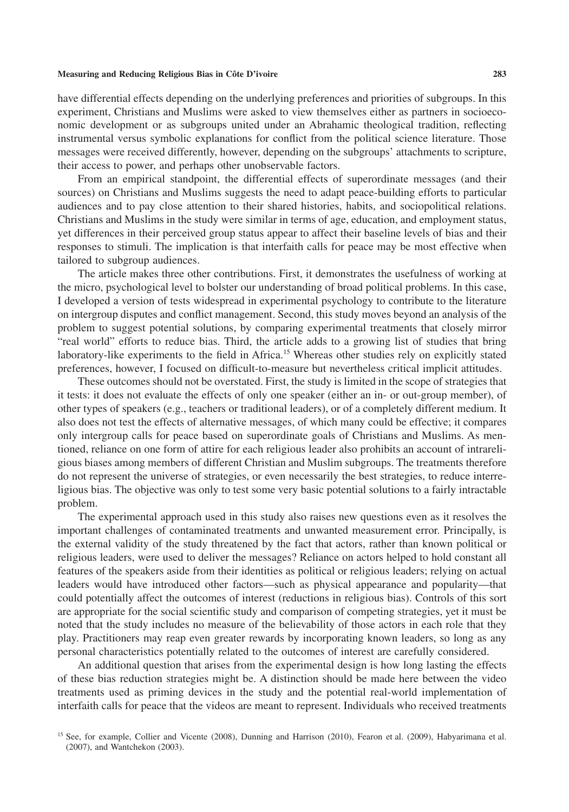have differential effects depending on the underlying preferences and priorities of subgroups. In this experiment, Christians and Muslims were asked to view themselves either as partners in socioeconomic development or as subgroups united under an Abrahamic theological tradition, reflecting instrumental versus symbolic explanations for conflict from the political science literature. Those messages were received differently, however, depending on the subgroups' attachments to scripture, their access to power, and perhaps other unobservable factors.

From an empirical standpoint, the differential effects of superordinate messages (and their sources) on Christians and Muslims suggests the need to adapt peace-building efforts to particular audiences and to pay close attention to their shared histories, habits, and sociopolitical relations. Christians and Muslims in the study were similar in terms of age, education, and employment status, yet differences in their perceived group status appear to affect their baseline levels of bias and their responses to stimuli. The implication is that interfaith calls for peace may be most effective when tailored to subgroup audiences.

The article makes three other contributions. First, it demonstrates the usefulness of working at the micro, psychological level to bolster our understanding of broad political problems. In this case, I developed a version of tests widespread in experimental psychology to contribute to the literature on intergroup disputes and conflict management. Second, this study moves beyond an analysis of the problem to suggest potential solutions, by comparing experimental treatments that closely mirror "real world" efforts to reduce bias. Third, the article adds to a growing list of studies that bring laboratory-like experiments to the field in Africa.<sup>15</sup> Whereas other studies rely on explicitly stated preferences, however, I focused on difficult-to-measure but nevertheless critical implicit attitudes.

These outcomes should not be overstated. First, the study is limited in the scope of strategies that it tests: it does not evaluate the effects of only one speaker (either an in- or out-group member), of other types of speakers (e.g., teachers or traditional leaders), or of a completely different medium. It also does not test the effects of alternative messages, of which many could be effective; it compares only intergroup calls for peace based on superordinate goals of Christians and Muslims. As mentioned, reliance on one form of attire for each religious leader also prohibits an account of intrareligious biases among members of different Christian and Muslim subgroups. The treatments therefore do not represent the universe of strategies, or even necessarily the best strategies, to reduce interreligious bias. The objective was only to test some very basic potential solutions to a fairly intractable problem.

The experimental approach used in this study also raises new questions even as it resolves the important challenges of contaminated treatments and unwanted measurement error. Principally, is the external validity of the study threatened by the fact that actors, rather than known political or religious leaders, were used to deliver the messages? Reliance on actors helped to hold constant all features of the speakers aside from their identities as political or religious leaders; relying on actual leaders would have introduced other factors—such as physical appearance and popularity—that could potentially affect the outcomes of interest (reductions in religious bias). Controls of this sort are appropriate for the social scientific study and comparison of competing strategies, yet it must be noted that the study includes no measure of the believability of those actors in each role that they play. Practitioners may reap even greater rewards by incorporating known leaders, so long as any personal characteristics potentially related to the outcomes of interest are carefully considered.

An additional question that arises from the experimental design is how long lasting the effects of these bias reduction strategies might be. A distinction should be made here between the video treatments used as priming devices in the study and the potential real-world implementation of interfaith calls for peace that the videos are meant to represent. Individuals who received treatments

<sup>&</sup>lt;sup>15</sup> See, for example, Collier and Vicente (2008), Dunning and Harrison (2010), Fearon et al. (2009), Habyarimana et al. (2007), and Wantchekon (2003).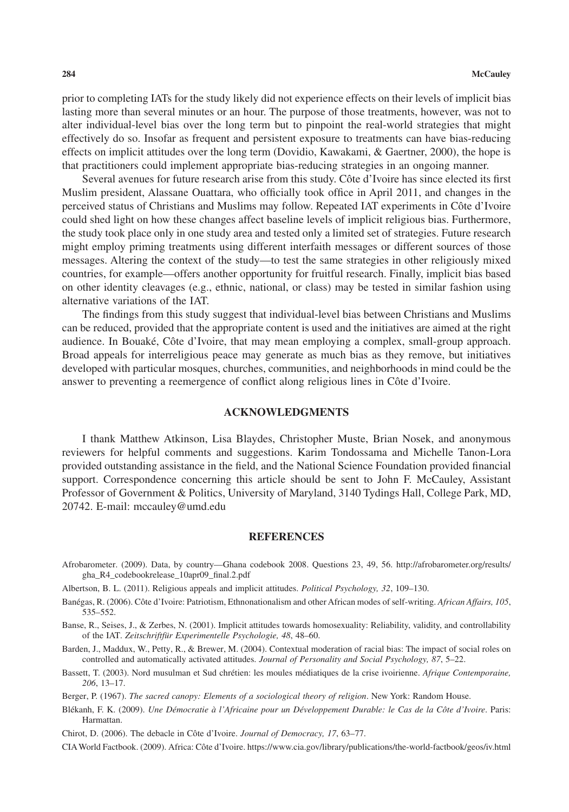prior to completing IATs for the study likely did not experience effects on their levels of implicit bias lasting more than several minutes or an hour. The purpose of those treatments, however, was not to alter individual-level bias over the long term but to pinpoint the real-world strategies that might effectively do so. Insofar as frequent and persistent exposure to treatments can have bias-reducing effects on implicit attitudes over the long term (Dovidio, Kawakami, & Gaertner, 2000), the hope is that practitioners could implement appropriate bias-reducing strategies in an ongoing manner.

Several avenues for future research arise from this study. Côte d'Ivoire has since elected its first Muslim president, Alassane Ouattara, who officially took office in April 2011, and changes in the perceived status of Christians and Muslims may follow. Repeated IAT experiments in Côte d'Ivoire could shed light on how these changes affect baseline levels of implicit religious bias. Furthermore, the study took place only in one study area and tested only a limited set of strategies. Future research might employ priming treatments using different interfaith messages or different sources of those messages. Altering the context of the study—to test the same strategies in other religiously mixed countries, for example—offers another opportunity for fruitful research. Finally, implicit bias based on other identity cleavages (e.g., ethnic, national, or class) may be tested in similar fashion using alternative variations of the IAT.

The findings from this study suggest that individual-level bias between Christians and Muslims can be reduced, provided that the appropriate content is used and the initiatives are aimed at the right audience. In Bouaké, Côte d'Ivoire, that may mean employing a complex, small-group approach. Broad appeals for interreligious peace may generate as much bias as they remove, but initiatives developed with particular mosques, churches, communities, and neighborhoods in mind could be the answer to preventing a reemergence of conflict along religious lines in Côte d'Ivoire.

# **ACKNOWLEDGMENTS**

I thank Matthew Atkinson, Lisa Blaydes, Christopher Muste, Brian Nosek, and anonymous reviewers for helpful comments and suggestions. Karim Tondossama and Michelle Tanon-Lora provided outstanding assistance in the field, and the National Science Foundation provided financial support. Correspondence concerning this article should be sent to John F. McCauley, Assistant Professor of Government & Politics, University of Maryland, 3140 Tydings Hall, College Park, MD, 20742. E-mail: [mccauley@umd.edu](mailto:mccauley@umd.edu)

#### **REFERENCES**

- Afrobarometer. (2009). Data, by country—Ghana codebook 2008. Questions 23, 49, 56. [http://afrobarometer.org/results/](http://afrobarometer.org/results/gha_R4_codebookrelease_10apr09_final.2) [gha\\_R4\\_codebookrelease\\_10apr09\\_final.2.](http://afrobarometer.org/results/gha_R4_codebookrelease_10apr09_final.2)pdf
- Albertson, B. L. (2011). Religious appeals and implicit attitudes. *Political Psychology, 32*, 109–130.
- Banégas, R. (2006). Côte d'Ivoire: Patriotism, Ethnonationalism and other African modes of self-writing. *African Affairs, 105*, 535–552.
- Banse, R., Seises, J., & Zerbes, N. (2001). Implicit attitudes towards homosexuality: Reliability, validity, and controllability of the IAT. *Zeitschriftfür Experimentelle Psychologie, 48*, 48–60.
- Barden, J., Maddux, W., Petty, R., & Brewer, M. (2004). Contextual moderation of racial bias: The impact of social roles on controlled and automatically activated attitudes. *Journal of Personality and Social Psychology, 87*, 5–22.
- Bassett, T. (2003). Nord musulman et Sud chrétien: les moules médiatiques de la crise ivoirienne. *Afrique Contemporaine, 206*, 13–17.

Berger, P. (1967). *The sacred canopy: Elements of a sociological theory of religion*. New York: Random House.

Blékanh, F. K. (2009). *Une Démocratie à l'Africaine pour un Développement Durable: le Cas de la Côte d'Ivoire*. Paris: Harmattan.

Chirot, D. (2006). The debacle in Côte d'Ivoire. *Journal of Democracy, 17*, 63–77.

CIAWorld Factbook. (2009). Africa: Côte d'Ivoire.<https://www.cia.gov/library/publications/the-world-factbook/geos/iv.html>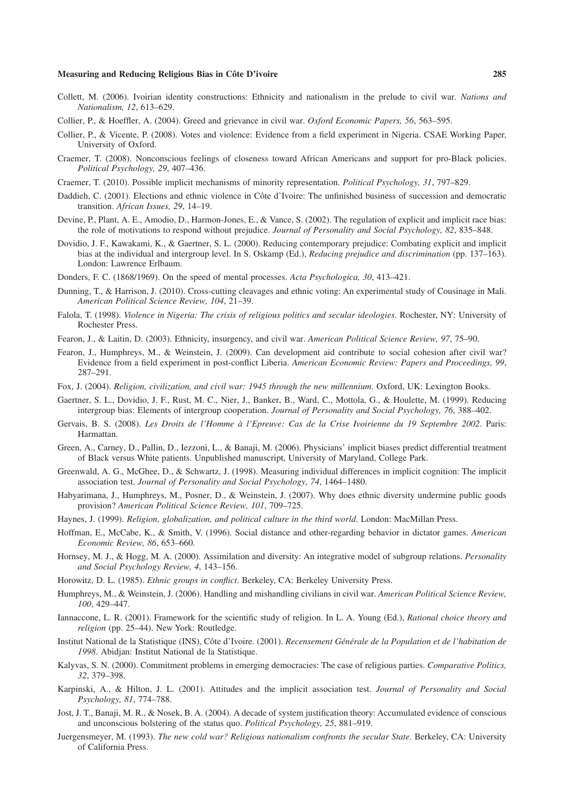- Collett, M. (2006). Ivoirian identity constructions: Ethnicity and nationalism in the prelude to civil war. *Nations and Nationalism, 12*, 613–629.
- Collier, P., & Hoeffler, A. (2004). Greed and grievance in civil war. *Oxford Economic Papers, 56*, 563–595.
- Collier, P., & Vicente, P. (2008). Votes and violence: Evidence from a field experiment in Nigeria. CSAE Working Paper, University of Oxford.
- Craemer, T. (2008). Nonconscious feelings of closeness toward African Americans and support for pro-Black policies. *Political Psychology, 29*, 407–436.
- Craemer, T. (2010). Possible implicit mechanisms of minority representation. *Political Psychology, 31*, 797–829.
- Daddieh, C. (2001). Elections and ethnic violence in Côte d'Ivoire: The unfinished business of succession and democratic transition. *African Issues, 29*, 14–19.
- Devine, P., Plant, A. E., Amodio, D., Harmon-Jones, E., & Vance, S. (2002). The regulation of explicit and implicit race bias: the role of motivations to respond without prejudice. *Journal of Personality and Social Psychology, 82*, 835–848.
- Dovidio, J. F., Kawakami, K., & Gaertner, S. L. (2000). Reducing contemporary prejudice: Combating explicit and implicit bias at the individual and intergroup level. In S. Oskamp (Ed.), *Reducing prejudice and discrimination* (pp. 137–163). London: Lawrence Erlbaum.
- Donders, F. C. (1868/1969). On the speed of mental processes. *Acta Psychologica, 30*, 413–421.
- Dunning, T., & Harrison, J. (2010). Cross-cutting cleavages and ethnic voting: An experimental study of Cousinage in Mali. *American Political Science Review, 104*, 21–39.
- Falola, T. (1998). *Violence in Nigeria: The crisis of religious politics and secular ideologies*. Rochester, NY: University of Rochester Press.
- Fearon, J., & Laitin, D. (2003). Ethnicity, insurgency, and civil war. *American Political Science Review, 97*, 75–90.
- Fearon, J., Humphreys, M., & Weinstein, J. (2009). Can development aid contribute to social cohesion after civil war? Evidence from a field experiment in post-conflict Liberia. *American Economic Review: Papers and Proceedings, 99*, 287–291.
- Fox, J. (2004). *Religion, civilization, and civil war: 1945 through the new millennium*. Oxford, UK: Lexington Books.
- Gaertner, S. L., Dovidio, J. F., Rust, M. C., Nier, J., Banker, B., Ward, C., Mottola, G., & Houlette, M. (1999). Reducing intergroup bias: Elements of intergroup cooperation. *Journal of Personality and Social Psychology, 76*, 388–402.
- Gervais, B. S. (2008). *Les Droits de l'Homme à l'Epreuve: Cas de la Crise Ivoirienne du 19 Septembre 2002*. Paris: Harmattan.
- Green, A., Carney, D., Pallin, D., Iezzoni, L., & Banaji, M. (2006). Physicians' implicit biases predict differential treatment of Black versus White patients. Unpublished manuscript, University of Maryland, College Park.
- Greenwald, A. G., McGhee, D., & Schwartz, J. (1998). Measuring individual differences in implicit cognition: The implicit association test. *Journal of Personality and Social Psychology, 74*, 1464–1480.
- Habyarimana, J., Humphreys, M., Posner, D., & Weinstein, J. (2007). Why does ethnic diversity undermine public goods provision? *American Political Science Review, 101*, 709–725.
- Haynes, J. (1999). *Religion, globalization, and political culture in the third world*. London: MacMillan Press.
- Hoffman, E., McCabe, K., & Smith, V. (1996). Social distance and other-regarding behavior in dictator games. *American Economic Review, 86*, 653–660.
- Hornsey, M. J., & Hogg, M. A. (2000). Assimilation and diversity: An integrative model of subgroup relations. *Personality and Social Psychology Review, 4*, 143–156.
- Horowitz, D. L. (1985). *Ethnic groups in conflict*. Berkeley, CA: Berkeley University Press.
- Humphreys, M., & Weinstein, J. (2006). Handling and mishandling civilians in civil war. *American Political Science Review, 100*, 429–447.
- Iannaccone, L. R. (2001). Framework for the scientific study of religion. In L. A. Young (Ed.), *Rational choice theory and religion* (pp. 25–44). New York: Routledge.
- Institut National de la Statistique (INS), Côte d'Ivoire. (2001). *Recensement Générale de la Population et de l'habitation de 1998*. Abidjan: Institut National de la Statistique.
- Kalyvas, S. N. (2000). Commitment problems in emerging democracies: The case of religious parties. *Comparative Politics, 32*, 379–398.
- Karpinski, A., & Hilton, J. L. (2001). Attitudes and the implicit association test. *Journal of Personality and Social Psychology, 81*, 774–788.
- Jost, J. T., Banaji, M. R., & Nosek, B. A. (2004). A decade of system justification theory: Accumulated evidence of conscious and unconscious bolstering of the status quo. *Political Psychology, 25*, 881–919.
- Juergensmeyer, M. (1993). *The new cold war? Religious nationalism confronts the secular State*. Berkeley, CA: University of California Press.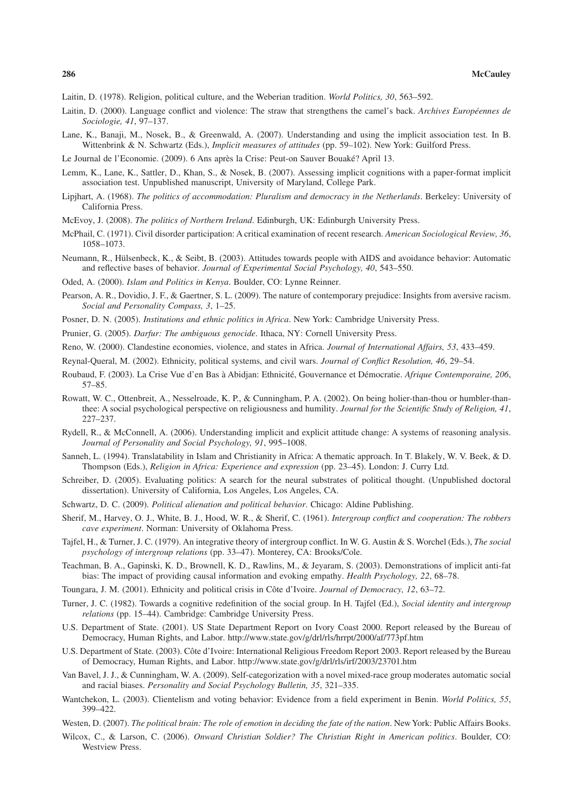Laitin, D. (1978). Religion, political culture, and the Weberian tradition. *World Politics, 30*, 563–592.

- Laitin, D. (2000). Language conflict and violence: The straw that strengthens the camel's back. *Archives Européennes de Sociologie, 41*, 97–137.
- Lane, K., Banaji, M., Nosek, B., & Greenwald, A. (2007). Understanding and using the implicit association test. In B. Wittenbrink & N. Schwartz (Eds.), *Implicit measures of attitudes* (pp. 59–102). New York: Guilford Press.
- Le Journal de l'Economie. (2009). 6 Ans après la Crise: Peut-on Sauver Bouaké? April 13.
- Lemm, K., Lane, K., Sattler, D., Khan, S., & Nosek, B. (2007). Assessing implicit cognitions with a paper-format implicit association test. Unpublished manuscript, University of Maryland, College Park.
- Lipjhart, A. (1968). *The politics of accommodation: Pluralism and democracy in the Netherlands*. Berkeley: University of California Press.
- McEvoy, J. (2008). *The politics of Northern Ireland*. Edinburgh, UK: Edinburgh University Press.
- McPhail, C. (1971). Civil disorder participation: A critical examination of recent research. *American Sociological Review, 36*, 1058–1073.
- Neumann, R., Hülsenbeck, K., & Seibt, B. (2003). Attitudes towards people with AIDS and avoidance behavior: Automatic and reflective bases of behavior. *Journal of Experimental Social Psychology, 40*, 543–550.
- Oded, A. (2000). *Islam and Politics in Kenya*. Boulder, CO: Lynne Reinner.
- Pearson, A. R., Dovidio, J. F., & Gaertner, S. L. (2009). The nature of contemporary prejudice: Insights from aversive racism. *Social and Personality Compass, 3*, 1–25.
- Posner, D. N. (2005). *Institutions and ethnic politics in Africa*. New York: Cambridge University Press.
- Prunier, G. (2005). *Darfur: The ambiguous genocide*. Ithaca, NY: Cornell University Press.
- Reno, W. (2000). Clandestine economies, violence, and states in Africa. *Journal of International Affairs, 53*, 433–459.
- Reynal-Queral, M. (2002). Ethnicity, political systems, and civil wars. *Journal of Conflict Resolution, 46*, 29–54.
- Roubaud, F. (2003). La Crise Vue d'en Bas à Abidjan: Ethnicité, Gouvernance et Démocratie. *Afrique Contemporaine, 206*, 57–85.
- Rowatt, W. C., Ottenbreit, A., Nesselroade, K. P., & Cunningham, P. A. (2002). On being holier-than-thou or humbler-thanthee: A social psychological perspective on religiousness and humility. *Journal for the Scientific Study of Religion, 41*, 227–237.
- Rydell, R., & McConnell, A. (2006). Understanding implicit and explicit attitude change: A systems of reasoning analysis. *Journal of Personality and Social Psychology, 91*, 995–1008.
- Sanneh, L. (1994). Translatability in Islam and Christianity in Africa: A thematic approach. In T. Blakely, W. V. Beek, & D. Thompson (Eds.), *Religion in Africa: Experience and expression* (pp. 23–45). London: J. Curry Ltd.
- Schreiber, D. (2005). Evaluating politics: A search for the neural substrates of political thought. (Unpublished doctoral dissertation). University of California, Los Angeles, Los Angeles, CA.
- Schwartz, D. C. (2009). *Political alienation and political behavior*. Chicago: Aldine Publishing.
- Sherif, M., Harvey, O. J., White, B. J., Hood, W. R., & Sherif, C. (1961). *Intergroup conflict and cooperation: The robbers cave experiment*. Norman: University of Oklahoma Press.
- Tajfel, H., & Turner, J. C. (1979). An integrative theory of intergroup conflict. In W. G. Austin & S. Worchel (Eds.), *The social psychology of intergroup relations* (pp. 33–47). Monterey, CA: Brooks/Cole.
- Teachman, B. A., Gapinski, K. D., Brownell, K. D., Rawlins, M., & Jeyaram, S. (2003). Demonstrations of implicit anti-fat bias: The impact of providing causal information and evoking empathy. *Health Psychology, 22*, 68–78.
- Toungara, J. M. (2001). Ethnicity and political crisis in Côte d'Ivoire. *Journal of Democracy, 12*, 63–72.
- Turner, J. C. (1982). Towards a cognitive redefinition of the social group. In H. Tajfel (Ed.), *Social identity and intergroup relations* (pp. 15–44). Cambridge: Cambridge University Press.
- U.S. Department of State. (2001). US State Department Report on Ivory Coast 2000. Report released by the Bureau of Democracy, Human Rights, and Labor.<http://www.state.gov/g/drl/rls/hrrpt/2000/af/773pf.htm>
- U.S. Department of State. (2003). Côte d'Ivoire: International Religious Freedom Report 2003. Report released by the Bureau of Democracy, Human Rights, and Labor.<http://www.state.gov/g/drl/rls/irf/2003/23701.htm>
- Van Bavel, J. J., & Cunningham, W. A. (2009). Self-categorization with a novel mixed-race group moderates automatic social and racial biases. *Personality and Social Psychology Bulletin, 35*, 321–335.
- Wantchekon, L. (2003). Clientelism and voting behavior: Evidence from a field experiment in Benin. *World Politics, 55*, 399–422.
- Westen, D. (2007). *The political brain: The role of emotion in deciding the fate of the nation*. New York: Public Affairs Books.
- Wilcox, C., & Larson, C. (2006). *Onward Christian Soldier? The Christian Right in American politics*. Boulder, CO: Westview Press.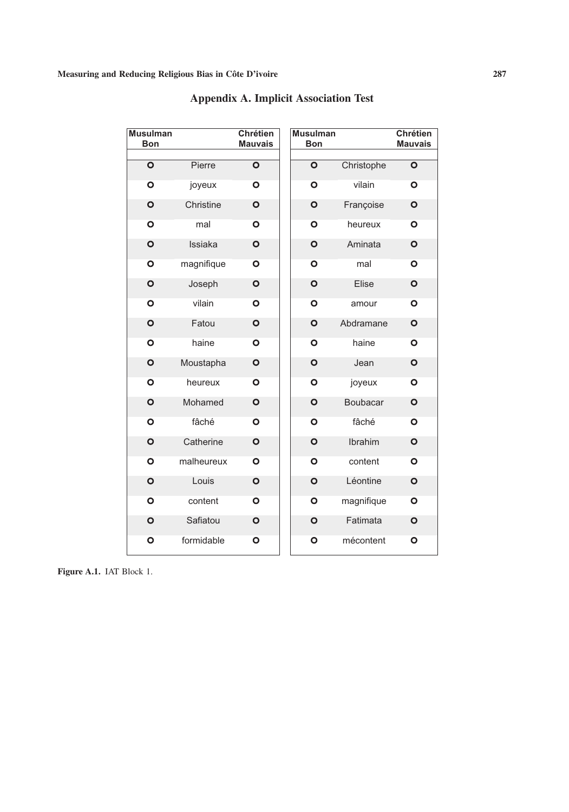| <b>Musulman</b><br>Bon |            | Chrétien<br><b>Mauvais</b> | <b>Musulman</b><br>Bon |                 | Chrétien<br><b>Mauvais</b> |
|------------------------|------------|----------------------------|------------------------|-----------------|----------------------------|
| $\circ$                | Pierre     | $\circ$                    | $\circ$                | Christophe      | $\circ$                    |
| O                      | joyeux     | O                          | $\circ$                | vilain          | O                          |
| $\circ$                | Christine  | $\circ$                    | $\circ$                | Françoise       | $\circ$                    |
| O                      | mal        | Ο                          | Ο                      | heureux         | $\circ$                    |
| $\circ$                | Issiaka    | $\circ$                    | $\circ$                | Aminata         | $\circ$                    |
| O                      | magnifique | O                          | $\circ$                | mal             | $\circ$                    |
| $\circ$                | Joseph     | $\circ$                    | $\circ$                | Elise           | $\circ$                    |
| $\circ$                | vilain     | $\circ$                    | $\circ$                | amour           | $\circ$                    |
| $\circ$                | Fatou      | $\circ$                    | $\circ$                | Abdramane       | $\circ$                    |
| $\circ$                | haine      | O                          | O                      | haine           | $\circ$                    |
| $\circ$                | Moustapha  | $\circ$                    | $\circ$                | Jean            | $\circ$                    |
| O                      | heureux    | $\circ$                    | O                      | joyeux          | O                          |
| $\circ$                | Mohamed    | $\circ$                    | $\circ$                | <b>Boubacar</b> | $\circ$                    |
| Ο                      | fâché      | Ο                          | $\circ$                | fâché           | $\circ$                    |
| $\circ$                | Catherine  | $\circ$                    | $\circ$                | Ibrahim         | $\circ$                    |
| O                      | malheureux | O                          | Ο                      | content         | O                          |
| $\circ$                | Louis      | $\circ$                    | $\circ$                | Léontine        | $\circ$                    |
| $\circ$                | content    | O                          | $\circ$                | magnifique      | $\circ$                    |
| $\circ$                | Safiatou   | $\circ$                    | $\circ$                | Fatimata        | $\circ$                    |
| O                      | formidable | $\circ$                    | $\circ$                | mécontent       | Ο                          |

**Appendix A. Implicit Association Test**

| musuman<br>Bon          |                | יוו כנוי<br><b>Mauvais</b> |
|-------------------------|----------------|----------------------------|
| $\circ$                 | Christophe     | $\overline{O}$             |
| $\circ$                 | vilain         | $\circ$                    |
| $\circ$                 | Françoise      | $\circ$                    |
| $\overline{O}$          | heureux        | $\overline{O}$             |
| $\circ$                 | Aminata        | $\overline{O}$             |
| $\circ$                 | mal            | $\circ$                    |
| $\circ$                 | Elise          | $\overline{O}$             |
| $\circ$                 | amour          | $\overline{O}$             |
| $\circ$                 | Abdramane      | $\circ$                    |
| $\overline{\mathbf{o}}$ | haine          | $\overline{\mathbf{o}}$    |
| $\circ$                 | Jean           | $\overline{O}$             |
| $\circ$                 | joyeux         | $\circ$                    |
| $\circ$                 | Boubacar       | $\circ$                    |
| $\bullet$               | fâché          | $\overline{O}$             |
| $\circ$                 | <b>Ibrahim</b> | $\overline{O}$             |
| $\circ$                 | content        | $\circ$                    |
| $\circ$                 | Léontine       | $\overline{O}$             |
| $\overline{O}$          | magnifique     | $\overline{O}$             |
| $\circ$                 | Fatimata       | $\circ$                    |
| $\bullet$               | mécontent      | $\overline{O}$             |

**Figure A.1.** IAT Block 1.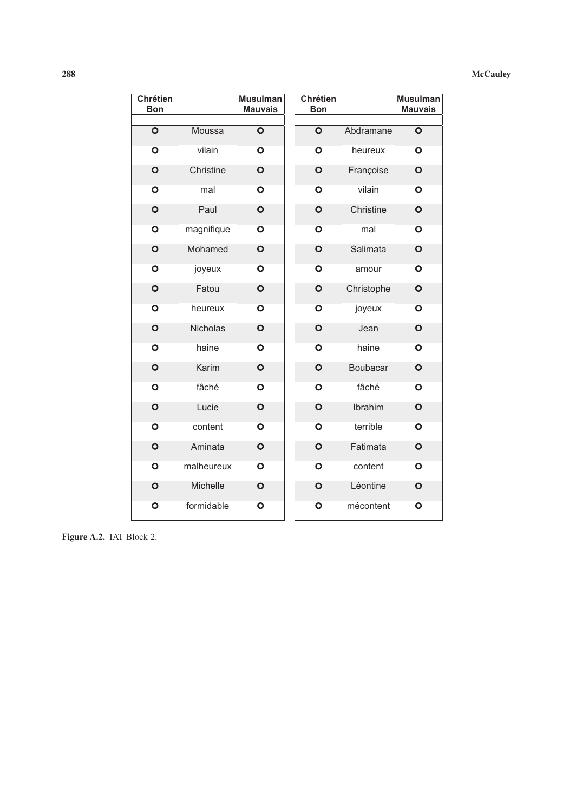| 288 | <b>McCauley</b> |
|-----|-----------------|
|-----|-----------------|

| Chrétien<br><b>Bon</b> |            | <b>Musulman</b><br><b>Mauvais</b> | Chrétien<br><b>Bon</b> |                 | <b>Musulman</b><br><b>Mauvais</b> |
|------------------------|------------|-----------------------------------|------------------------|-----------------|-----------------------------------|
| $\circ$                | Moussa     | $\circ$                           | $\circ$                | Abdramane       | $\circ$                           |
|                        |            |                                   |                        |                 |                                   |
| $\circ$                | vilain     | O                                 | O                      | heureux         | $\circ$                           |
| $\circ$                | Christine  | $\circ$                           | $\circ$                | Françoise       | $\circ$                           |
| O                      | mal        | Ο                                 | O                      | vilain          | Ο                                 |
| $\circ$                | Paul       | $\circ$                           | $\circ$                | Christine       | $\circ$                           |
| O                      | magnifique | O                                 | O                      | mal             | $\circ$                           |
| $\circ$                | Mohamed    | $\circ$                           | $\circ$                | Salimata        | $\circ$                           |
| $\circ$                | joyeux     | O                                 | $\circ$                | amour           | $\circ$                           |
| $\circ$                | Fatou      | $\mathbf{o}$                      | $\mathbf{o}$           | Christophe      | O                                 |
| O                      | heureux    | Ο                                 | O                      | joyeux          | Ο                                 |
| $\circ$                | Nicholas   | O                                 | $\circ$                | Jean            | $\circ$                           |
| O                      | haine      | Ο                                 | O                      | haine           | Ο                                 |
| $\circ$                | Karim      | $\circ$                           | $\circ$                | <b>Boubacar</b> | $\circ$                           |
| $\circ$                | fâché      | Ο                                 | Ο                      | fâché           | $\circ$                           |
| $\circ$                | Lucie      | $\circ$                           | $\circ$                | Ibrahim         | $\circ$                           |
| O                      | content    | О                                 | О                      | terrible        | O                                 |
| $\circ$                | Aminata    | $\circ$                           | $\circ$                | Fatimata        | $\circ$                           |
| $\circ$                | malheureux | $\circ$                           | $\circ$                | content         | $\circ$                           |
| $\circ$                | Michelle   | $\circ$                           | $\circ$                | Léontine        | $\circ$                           |
| O                      | formidable | Ο                                 | Ο                      | mécontent       | Ο                                 |
|                        |            |                                   |                        |                 |                                   |

| Chrétien<br>Bon |                 | <b>Musulman</b><br>Mauvais |
|-----------------|-----------------|----------------------------|
|                 |                 |                            |
| $\circ$         | Abdramane       | $\overline{\mathbf{o}}$    |
| $\circ$         | heureux         | O                          |
| $\circ$         | Françoise       | $\circ$                    |
| $\circ$         | vilain          | O                          |
| $\circ$         | Christine       | $\circ$                    |
| $\mathbf{o}$    | mal             | O                          |
| $\circ$         | Salimata        | $\circ$                    |
| $\circ$         | amour           | O                          |
| $\overline{O}$  | Christophe      | $\circ$                    |
| $\circ$         | joyeux          | O                          |
| $\overline{O}$  | Jean            | $\circ$                    |
| $\overline{O}$  | haine           | $\circ$                    |
| $\circ$         | <b>Boubacar</b> | $\circ$                    |
| $\overline{O}$  | fâché           | O                          |
| $\circ$         | Ibrahim         | $\circ$                    |
| $\overline{O}$  | terrible        | O                          |
| $\circ$         | Fatimata        | $\circ$                    |
| $\mathbf{o}$    | content         | O                          |
| $\circ$         | Léontine        | $\circ$                    |
| O               | mécontent       | O                          |

| Figure A.2. IAT Block 2. |  |  |  |  |
|--------------------------|--|--|--|--|
|--------------------------|--|--|--|--|